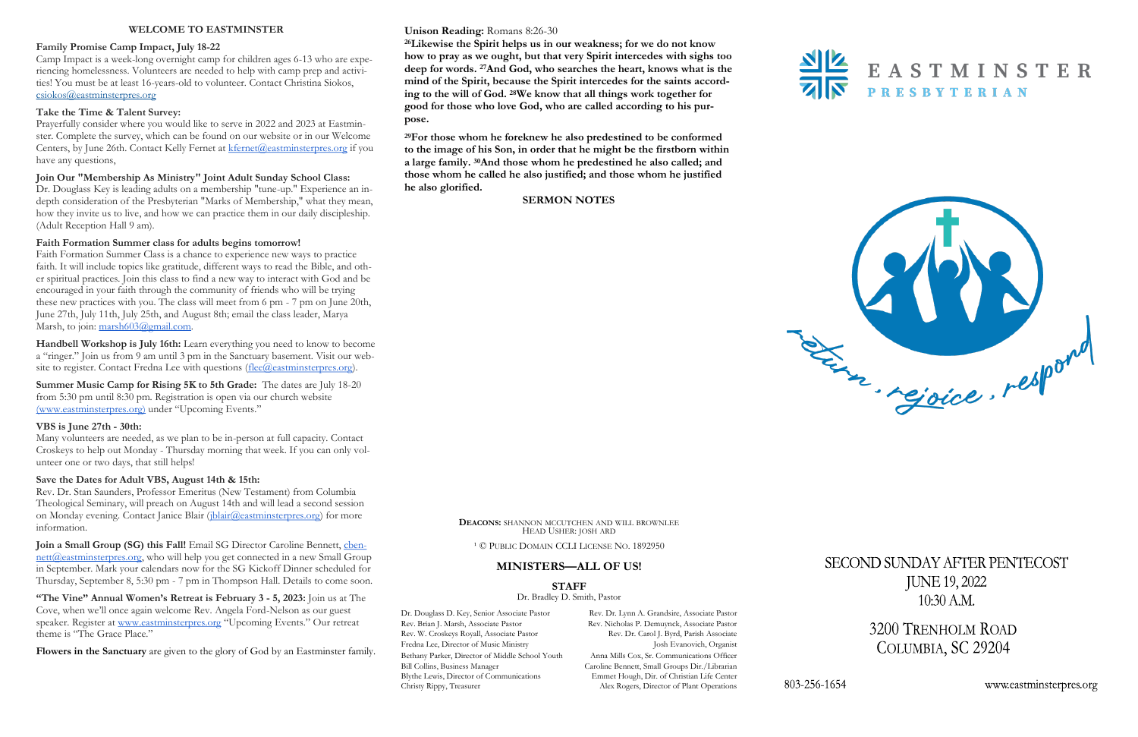#### **Unison Reading:** Romans 8:26-30

**<sup>26</sup>Likewise the Spirit helps us in our weakness; for we do not know how to pray as we ought, but that very Spirit intercedes with sighs too deep for words. <sup>27</sup>And God, who searches the heart, knows what is the mind of the Spirit, because the Spirit intercedes for the saints according to the will of God. <sup>28</sup>We know that all things work together for good for those who love God, who are called according to his purpose.**



**<sup>29</sup>For those whom he foreknew he also predestined to be conformed to the image of his Son, in order that he might be the firstborn within a large family. <sup>30</sup>And those whom he predestined he also called; and those whom he called he also justified; and those whom he justified he also glorified.**

#### **SERMON NOTES**



#### **WELCOME TO EASTMINSTER**

#### **Family Promise Camp Impact, July 18-22**

Faith Formation Summer Class is a chance to experience new ways to practice faith. It will include topics like gratitude, different ways to read the Bible, and other spiritual practices. Join this class to find a new way to interact with God and be encouraged in your faith through the community of friends who will be trying these new practices with you. The class will meet from 6 pm - 7 pm on June 20th, June 27th, July 11th, July 25th, and August 8th; email the class leader, Marya Marsh, to join: [marsh603@gmail.com.](mailto:marsh603@gmail.com)

Camp Impact is a week-long overnight camp for children ages 6-13 who are experiencing homelessness. Volunteers are needed to help with camp prep and activities! You must be at least 16-years-old to volunteer. Contact Christina Siokos, [csiokos@eastminsterpres.org](mailto:csiokos@eastminsterpres.org)

#### **Take the Time & Talent Survey:**

**Handbell Workshop is July 16th:** Learn everything you need to know to become a "ringer." Join us from 9 am until 3 pm in the Sanctuary basement. Visit our website to register. Contact Fredna Lee with questions ([flee@eastminsterpres.org\)](mailto:flee@eastminsterpres.org).

Prayerfully consider where you would like to serve in 2022 and 2023 at Eastminster. Complete the survey, which can be found on our website or in our Welcome Centers, by June 26th. Contact Kelly Fernet at [kfernet@eastminsterpres.org](mailto:kfernet@eastminsterpres.org) if you have any questions,

#### **Join Our "Membership As Ministry" Joint Adult Sunday School Class:**

Dr. Douglass Key is leading adults on a membership "tune-up." Experience an indepth consideration of the Presbyterian "Marks of Membership," what they mean, how they invite us to live, and how we can practice them in our daily discipleship. (Adult Reception Hall 9 am).

#### **Faith Formation Summer class for adults begins tomorrow!**

Dr. Douglass D. Key, Senior Associate Pastor Rev. Dr. Lynn A. Grandsire, Associate Pastor Alex Rogers, Director of Plant Operations

803-256-1654



# SECOND SUNDAY AFTER PENTECOST **JUNE 19, 2022**  $10:30$  A.M.

3200 TRENHOLM ROAD COLUMBIA, SC 29204

www.eastminsterpres.org

Rev. Brian J. Marsh, Associate Pastor Rev. Nicholas P. Demuynck, Associate Pastor Rev. W. Croskeys Royall, Associate Pastor Rev. Dr. Carol J. Byrd, Parish Associate Fredna Lee, Director of Music Ministry **Josh Evanovich, Organist** Bethany Parker, Director of Middle School Youth Anna Mills Cox, Sr. Communications Officer Bill Collins, Business Manager Caroline Bennett, Small Groups Dir./Librarian Blythe Lewis, Director of Communications Emmet Hough, Dir. of Christian Life Center Christy Rippy, Treasurer Alex Rogers, Director of Plant Operations

**Summer Music Camp for Rising 5K to 5th Grade:** The dates are July 18-20 from 5:30 pm until 8:30 pm. Registration is open via our church website [\(www.eastminsterpres.org\)](about:blank) under "Upcoming Events."

#### **VBS is June 27th - 30th:**

Many volunteers are needed, as we plan to be in-person at full capacity. Contact Croskeys to help out Monday - Thursday morning that week. If you can only volunteer one or two days, that still helps!

#### **Save the Dates for Adult VBS, August 14th & 15th:**

Rev. Dr. Stan Saunders, Professor Emeritus (New Testament) from Columbia Theological Seminary, will preach on August 14th and will lead a second session on Monday evening. Contact Janice Blair (*jblair@eastminsterpres.org*) for more information.

**Join a Small Group (SG) this Fall!** Email SG Director Caroline Bennett, [cben](mailto:cbennett@eastminsterpres.org)[nett@eastminsterpres.org,](mailto:cbennett@eastminsterpres.org) who will help you get connected in a new Small Group in September. Mark your calendars now for the SG Kickoff Dinner scheduled for Thursday, September 8, 5:30 pm - 7 pm in Thompson Hall. Details to come soon.

**"The Vine" Annual Women's Retreat is February 3 - 5, 2023:** Join us at The Cove, when we'll once again welcome Rev. Angela Ford-Nelson as our guest speaker. Register at [www.eastminsterpres.org](http://www.eastminsterpres.org) "Upcoming Events." Our retreat theme is "The Grace Place."

**Flowers in the Sanctuary** are given to the glory of God by an Eastminster family.

**DEACONS:** SHANNON MCCUTCHEN AND WILL BROWNLEE HEAD USHER: JOSH ARD

<sup>1</sup> © PUBLIC DOMAIN CCLI LICENSE NO. 1892950

#### **MINISTERS—ALL OF US!**

**STAFF**

Dr. Bradley D. Smith, Pastor